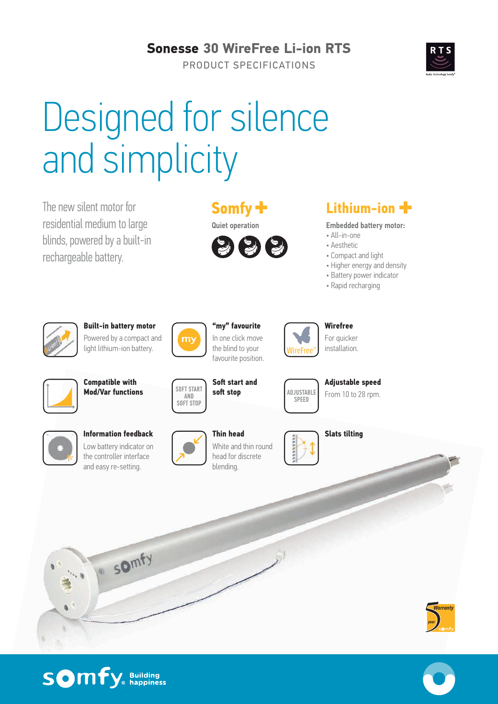# **Sonesse 30 WireFree Li-ion RTS**

PRODUCT SPECIFICATIONS

# Designed for silence and simplicity

The new silent motor for residential medium to large blinds, powered by a built-in rechargeable battery.





# **Lithium-ion**

Embedded battery motor:

- All-in-one
- Aesthetic
- Compact and light
- Higher energy and density
- Battery power indicator
- Rapid recharging

**Adjustable speed** From 10 to 28 rpm.



**Built-in battery motor** Powered by a compact and light lithium-ion battery.



**"my" favourite** In one click move the blind to your favourite position.

**Soft start and soft stop**



**Wirefree** For quicker installation.



**Compatible with Mod/Var functions ADJUSTABLE ADJUSTABLE** 



**Information feedback** Low battery indicator on the controller interface and easy re-setting.

· somfy



SOFT START AND SOFT STOP

**Thin head** White and thin round head for discrete blending.



**SPEED** 

**Slats tilting**